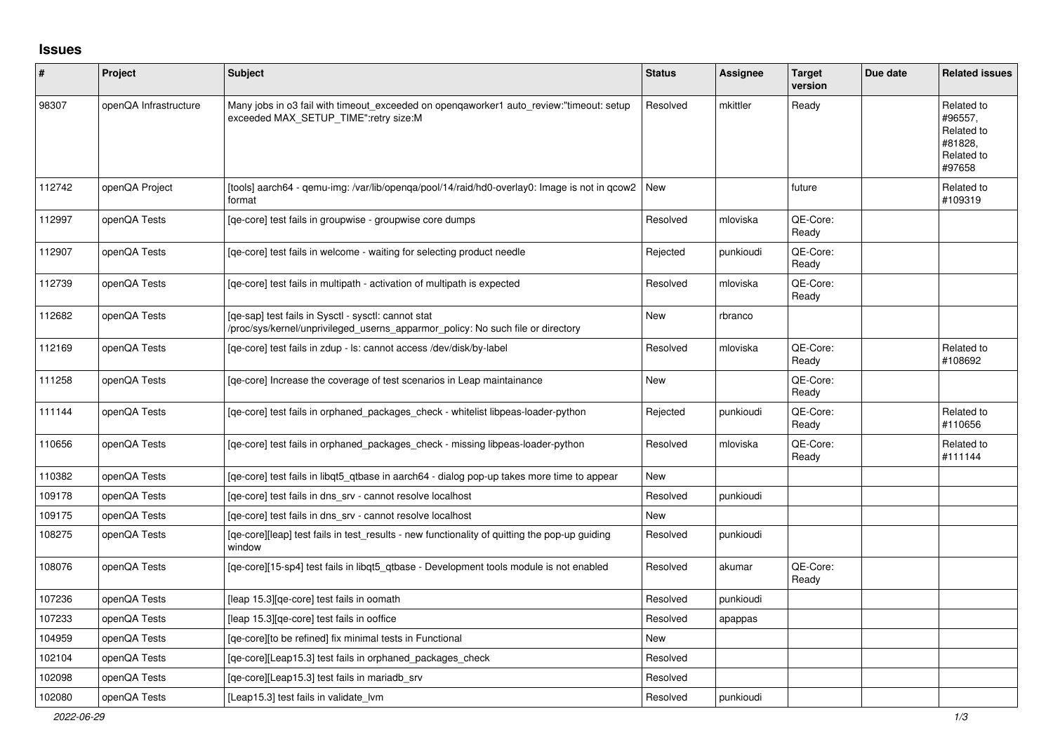## **Issues**

| $\sharp$ | Project               | <b>Subject</b>                                                                                                                         | <b>Status</b> | <b>Assignee</b> | <b>Target</b><br>version | Due date | <b>Related issues</b>                                                  |
|----------|-----------------------|----------------------------------------------------------------------------------------------------------------------------------------|---------------|-----------------|--------------------------|----------|------------------------------------------------------------------------|
| 98307    | openQA Infrastructure | Many jobs in o3 fail with timeout exceeded on opengaworker1 auto review:"timeout: setup<br>exceeded MAX_SETUP_TIME":retry size:M       | Resolved      | mkittler        | Ready                    |          | Related to<br>#96557.<br>Related to<br>#81828,<br>Related to<br>#97658 |
| 112742   | openQA Project        | [tools] aarch64 - qemu-img: /var/lib/openga/pool/14/raid/hd0-overlay0: Image is not in gcow2<br>format                                 | l New         |                 | future                   |          | Related to<br>#109319                                                  |
| 112997   | openQA Tests          | [ge-core] test fails in groupwise - groupwise core dumps                                                                               | Resolved      | mloviska        | QE-Core:<br>Ready        |          |                                                                        |
| 112907   | openQA Tests          | [ge-core] test fails in welcome - waiting for selecting product needle                                                                 | Rejected      | punkioudi       | QE-Core:<br>Ready        |          |                                                                        |
| 112739   | openQA Tests          | [qe-core] test fails in multipath - activation of multipath is expected                                                                | Resolved      | mloviska        | QE-Core:<br>Ready        |          |                                                                        |
| 112682   | openQA Tests          | [qe-sap] test fails in Sysctl - sysctl: cannot stat<br>'proc/sys/kernel/unprivileged_userns_apparmor_policy: No such file or directory | <b>New</b>    | rbranco         |                          |          |                                                                        |
| 112169   | openQA Tests          | [qe-core] test fails in zdup - ls: cannot access /dev/disk/by-label                                                                    | Resolved      | mloviska        | QE-Core:<br>Ready        |          | Related to<br>#108692                                                  |
| 111258   | openQA Tests          | [ge-core] Increase the coverage of test scenarios in Leap maintainance                                                                 | <b>New</b>    |                 | QE-Core:<br>Ready        |          |                                                                        |
| 111144   | openQA Tests          | [qe-core] test fails in orphaned_packages_check - whitelist libpeas-loader-python                                                      | Rejected      | punkioudi       | QE-Core:<br>Ready        |          | Related to<br>#110656                                                  |
| 110656   | openQA Tests          | [qe-core] test fails in orphaned_packages_check - missing libpeas-loader-python                                                        | Resolved      | mloviska        | QE-Core:<br>Ready        |          | Related to<br>#111144                                                  |
| 110382   | openQA Tests          | [ge-core] test fails in libgt5 gtbase in aarch64 - dialog pop-up takes more time to appear                                             | <b>New</b>    |                 |                          |          |                                                                        |
| 109178   | openQA Tests          | [ge-core] test fails in dns srv - cannot resolve localhost                                                                             | Resolved      | punkioudi       |                          |          |                                                                        |
| 109175   | openQA Tests          | [qe-core] test fails in dns_srv - cannot resolve localhost                                                                             | <b>New</b>    |                 |                          |          |                                                                        |
| 108275   | openQA Tests          | [qe-core][leap] test fails in test_results - new functionality of quitting the pop-up guiding<br>window                                | Resolved      | punkioudi       |                          |          |                                                                        |
| 108076   | openQA Tests          | [ge-core][15-sp4] test fails in libgt5 gtbase - Development tools module is not enabled                                                | Resolved      | akumar          | QE-Core:<br>Ready        |          |                                                                        |
| 107236   | openQA Tests          | [leap 15.3][qe-core] test fails in oomath                                                                                              | Resolved      | punkioudi       |                          |          |                                                                        |
| 107233   | openQA Tests          | leap 15.3][qe-core] test fails in ooffice                                                                                              | Resolved      | apappas         |                          |          |                                                                        |
| 104959   | openQA Tests          | [qe-core][to be refined] fix minimal tests in Functional                                                                               | New           |                 |                          |          |                                                                        |
| 102104   | openQA Tests          | [qe-core][Leap15.3] test fails in orphaned_packages_check                                                                              | Resolved      |                 |                          |          |                                                                        |
| 102098   | openQA Tests          | [ge-core][Leap15.3] test fails in mariadb srv                                                                                          | Resolved      |                 |                          |          |                                                                        |
| 102080   | openQA Tests          | [Leap15.3] test fails in validate lvm                                                                                                  | Resolved      | punkioudi       |                          |          |                                                                        |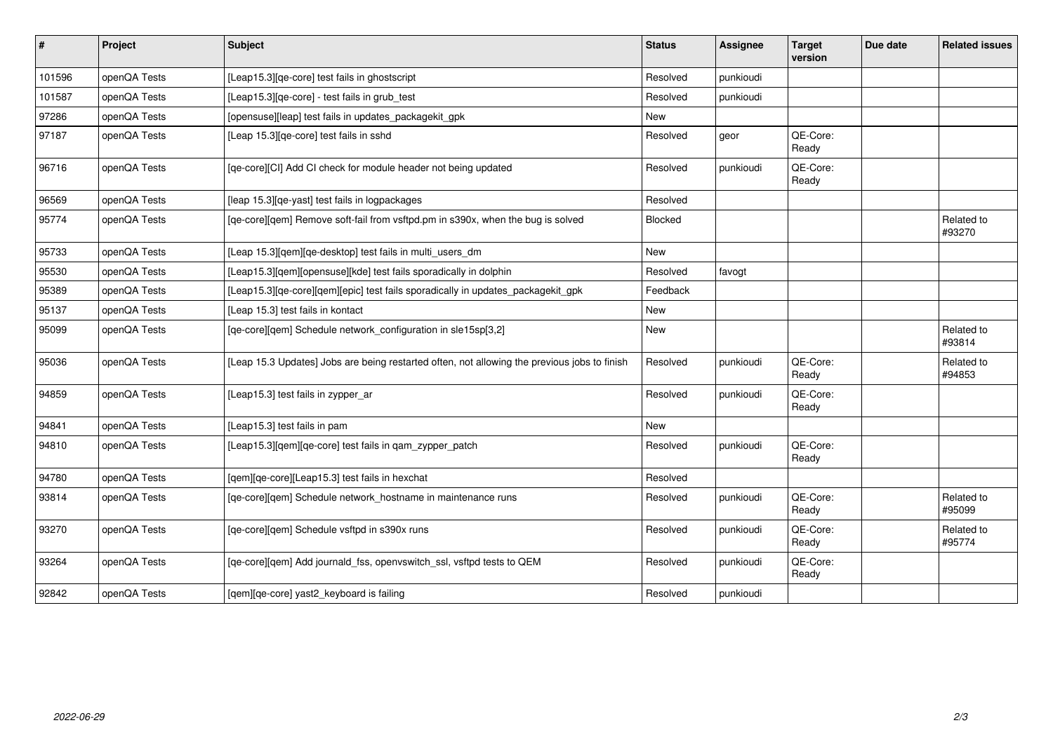| $\sharp$ | Project      | Subject                                                                                      | <b>Status</b> | <b>Assignee</b> | <b>Target</b><br>version | Due date | <b>Related issues</b> |
|----------|--------------|----------------------------------------------------------------------------------------------|---------------|-----------------|--------------------------|----------|-----------------------|
| 101596   | openQA Tests | [Leap15.3][qe-core] test fails in ghostscript                                                | Resolved      | punkioudi       |                          |          |                       |
| 101587   | openQA Tests | [Leap15.3] [ge-core] - test fails in grub test                                               | Resolved      | punkioudi       |                          |          |                       |
| 97286    | openQA Tests | [opensuse][leap] test fails in updates_packagekit_gpk                                        | <b>New</b>    |                 |                          |          |                       |
| 97187    | openQA Tests | [Leap 15.3][qe-core] test fails in sshd                                                      | Resolved      | geor            | QE-Core:<br>Ready        |          |                       |
| 96716    | openQA Tests | [qe-core][CI] Add CI check for module header not being updated                               | Resolved      | punkioudi       | QE-Core:<br>Ready        |          |                       |
| 96569    | openQA Tests | [leap 15.3] [qe-yast] test fails in logpackages                                              | Resolved      |                 |                          |          |                       |
| 95774    | openQA Tests | [qe-core][qem] Remove soft-fail from vsftpd.pm in s390x, when the bug is solved              | Blocked       |                 |                          |          | Related to<br>#93270  |
| 95733    | openQA Tests | [Leap 15.3][qem][qe-desktop] test fails in multi_users_dm                                    | New           |                 |                          |          |                       |
| 95530    | openQA Tests | [Leap15.3][qem][opensuse][kde] test fails sporadically in dolphin                            | Resolved      | favogt          |                          |          |                       |
| 95389    | openQA Tests | [Leap15.3][qe-core][qem][epic] test fails sporadically in updates_packagekit_gpk             | Feedback      |                 |                          |          |                       |
| 95137    | openQA Tests | [Leap 15.3] test fails in kontact                                                            | <b>New</b>    |                 |                          |          |                       |
| 95099    | openQA Tests | [qe-core][qem] Schedule network_configuration in sle15sp[3,2]                                | <b>New</b>    |                 |                          |          | Related to<br>#93814  |
| 95036    | openQA Tests | [Leap 15.3 Updates] Jobs are being restarted often, not allowing the previous jobs to finish | Resolved      | punkioudi       | QE-Core:<br>Ready        |          | Related to<br>#94853  |
| 94859    | openQA Tests | [Leap15.3] test fails in zypper_ar                                                           | Resolved      | punkioudi       | QE-Core:<br>Ready        |          |                       |
| 94841    | openQA Tests | [Leap15.3] test fails in pam                                                                 | New           |                 |                          |          |                       |
| 94810    | openQA Tests | [Leap15.3] [gem] [ge-core] test fails in gam zypper patch                                    | Resolved      | punkioudi       | QE-Core:<br>Ready        |          |                       |
| 94780    | openQA Tests | [qem][qe-core][Leap15.3] test fails in hexchat                                               | Resolved      |                 |                          |          |                       |
| 93814    | openQA Tests | [qe-core][qem] Schedule network_hostname in maintenance runs                                 | Resolved      | punkioudi       | QE-Core:<br>Ready        |          | Related to<br>#95099  |
| 93270    | openQA Tests | [qe-core][qem] Schedule vsftpd in s390x runs                                                 | Resolved      | punkioudi       | QE-Core:<br>Ready        |          | Related to<br>#95774  |
| 93264    | openQA Tests | [qe-core][qem] Add journald_fss, openvswitch_ssl, vsftpd tests to QEM                        | Resolved      | punkioudi       | QE-Core:<br>Ready        |          |                       |
| 92842    | openQA Tests | [qem][qe-core] yast2_keyboard is failing                                                     | Resolved      | punkioudi       |                          |          |                       |